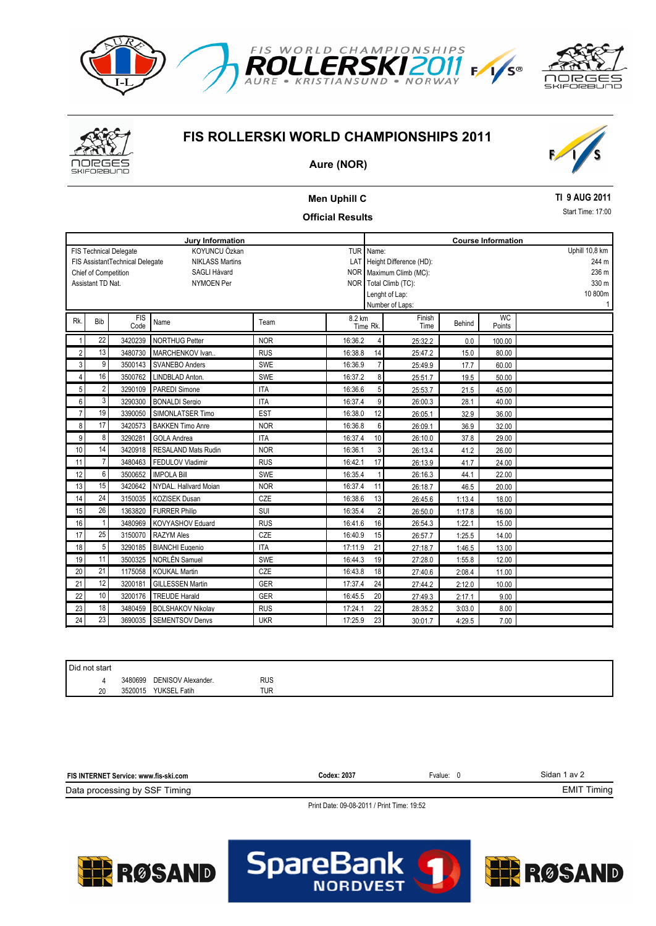



# **FIS ROLLERSKI WORLD CHAMPIONSHIPS 2011**



### **Aure (NOR)**

## **Men Uphill C Official Results**

### **TI 9 AUG 2011**

Start Time: 17:00

| <b>Jury Information</b>                                          |              |                    |                            |            |         |                           | <b>Course Information</b>        |                       |        |                     |       |
|------------------------------------------------------------------|--------------|--------------------|----------------------------|------------|---------|---------------------------|----------------------------------|-----------------------|--------|---------------------|-------|
| KOYUNCU Özkan<br><b>TUR</b><br><b>FIS Technical Delegate</b>     |              |                    |                            |            |         | Uphill 10,8 km<br>Name:   |                                  |                       |        |                     |       |
| FIS AssistantTechnical Delegate<br><b>NIKLASS Martins</b><br>LAT |              |                    |                            |            |         |                           | Height Difference (HD):<br>244 m |                       |        |                     |       |
| Chief of Competition<br><b>SAGLI Håvard</b>                      |              |                    |                            |            |         | NOR   Maximum Climb (MC): |                                  |                       |        |                     | 236 m |
| Assistant TD Nat.<br><b>NYMOEN Per</b>                           |              |                    |                            |            |         |                           |                                  | NOR Total Climb (TC): |        |                     | 330 m |
|                                                                  |              |                    |                            |            |         | 10 800m<br>Lenght of Lap: |                                  |                       |        |                     |       |
|                                                                  |              |                    |                            |            |         |                           |                                  | Number of Laps:       |        |                     |       |
| Rk.                                                              | Bib          | <b>FIS</b><br>Code | Name                       | Team       | 8.2 km  | Time Rk.                  |                                  | Finish<br>Time        | Behind | <b>WC</b><br>Points |       |
|                                                                  | 22           | 3420239            | <b>NORTHUG Petter</b>      | <b>NOR</b> | 16:36.2 |                           | $\overline{4}$                   | 25:32.2               | 0.0    | 100.00              |       |
| $\overline{c}$                                                   | 13           | 3480730            | MARCHENKOV Ivan            | <b>RUS</b> | 16:38.8 |                           | 14                               | 25:47.2               | 15.0   | 80.00               |       |
| 3                                                                | 9            | 3500143            | <b>SVANEBO Anders</b>      | SWE        | 16:36.9 |                           | $\overline{7}$                   | 25:49.9               | 17.7   | 60.00               |       |
| $\overline{4}$                                                   | 16           | 3500762            | LINDBLAD Anton.            | SWE        | 16:37.2 |                           | 8                                | 25:51.7               | 19.5   | 50.00               |       |
| 5                                                                | 2            | 3290109            | <b>PAREDI Simone</b>       | <b>ITA</b> | 16:36.6 |                           | 5                                | 25:53.7               | 21.5   | 45.00               |       |
| 6                                                                | 3            | 3290300            | <b>BONALDI Sergio</b>      | <b>ITA</b> | 16:37.4 |                           | 9                                | 26:00.3               | 28.1   | 40.00               |       |
| $\overline{7}$                                                   | 19           | 3390050            | SIMONLATSER Timo           | <b>EST</b> | 16:38.0 |                           | 12                               | 26:05.1               | 32.9   | 36.00               |       |
| 8                                                                | 17           | 3420573            | <b>BAKKEN Timo Anre</b>    | <b>NOR</b> | 16:36.8 |                           | 6                                | 26:09.1               | 36.9   | 32.00               |       |
| 9                                                                | 8            | 3290281            | <b>GOLA Andrea</b>         | <b>ITA</b> | 16:37.4 |                           | 10                               | 26:10.0               | 37.8   | 29.00               |       |
| 10                                                               | 14           | 3420918            | <b>RESALAND Mats Rudin</b> | <b>NOR</b> | 16:36.1 |                           | 3                                | 26:13.4               | 41.2   | 26.00               |       |
| 11                                                               | 7            | 3480463            | FEDULOV Vladimir           | <b>RUS</b> | 16:42.1 |                           | 17                               | 26:13.9               | 41.7   | 24.00               |       |
| 12                                                               | 6            | 3500652            | <b>IMPOLA Bill</b>         | SWE        | 16:35.4 |                           |                                  | 26:16.3               | 44.1   | 22.00               |       |
| 13                                                               | 15           | 3420642            | NYDAL. Hallvard Moian      | <b>NOR</b> | 16:37.4 |                           | 11                               | 26:18.7               | 46.5   | 20.00               |       |
| 14                                                               | 24           |                    | 3150035 KOZISEK Dusan      | CZE        | 16:38.6 |                           | 13                               | 26:45.6               | 1:13.4 | 18.00               |       |
| 15                                                               | 26           | 1363820            | <b>FURRER Philip</b>       | SUI        | 16:35.4 |                           | $\overline{2}$                   | 26:50.0               | 1:17.8 | 16.00               |       |
| 16                                                               | $\mathbf{1}$ | 3480969            | KOVYASHOV Eduard           | <b>RUS</b> | 16:41.6 |                           | 16                               | 26:54.3               | 1:22.1 | 15.00               |       |
| 17                                                               | 25           | 3150070            | <b>RAZYM Ales</b>          | CZE        | 16:40.9 |                           | 15                               | 26:57.7               | 1:25.5 | 14.00               |       |
| 18                                                               | 5            | 3290185            | <b>BIANCHI</b> Eugenio     | <b>ITA</b> | 17:11.9 |                           | 21                               | 27:18.7               | 1:46.5 | 13.00               |       |
| 19                                                               | 11           | 3500325            | NORLÊN Samuel              | SWE        | 16:44.3 |                           | 19                               | 27:28.0               | 1:55.8 | 12.00               |       |
| 20                                                               | 21           | 1175058            | <b>KOUKAL Martin</b>       | CZE        | 16:43.8 |                           | 18                               | 27:40.6               | 2:08.4 | 11.00               |       |
| 21                                                               | 12           | 3200181            | <b>GILLESSEN Martin</b>    | GER        | 17:37.4 |                           | 24                               | 27:44.2               | 2:12.0 | 10.00               |       |
| 22                                                               | 10           | 3200176            | <b>TREUDE Harald</b>       | GER        | 16:45.5 |                           | 20                               | 27:49.3               | 2:17.1 | 9.00                |       |
| 23                                                               | 18           | 3480459            | <b>BOLSHAKOV Nikolay</b>   | <b>RUS</b> | 17:24.1 |                           | 22                               | 28:35.2               | 3:03.0 | 8.00                |       |
| 24                                                               | 23           |                    | 3690035 SEMENTSOV Denvs    | <b>UKR</b> | 17:25.9 |                           | 23                               | 30:01.7               | 4:29.5 | 7.00                |       |

| Did not start |         |                            |            |  |  |
|---------------|---------|----------------------------|------------|--|--|
|               |         | 3480699 DENISOV Alexander. | <b>RUS</b> |  |  |
| 20            | 3520015 | <b>YUKSEL Fatih</b>        | TUR        |  |  |

| <b>FIS IN</b><br>šervice: www.fis-ski.com<br>13 IV | <b>Codex: 2037</b> | Fvalue:<br>. | 3idan.<br>av 2 |
|----------------------------------------------------|--------------------|--------------|----------------|
| Data<br>a processing by SSF<br>Timing              |                    |              | EMI<br>∣mino   |

**NORDVE** 

**SpareBar** 

Print Date: 09-08-2011 / Print Time: 19:52